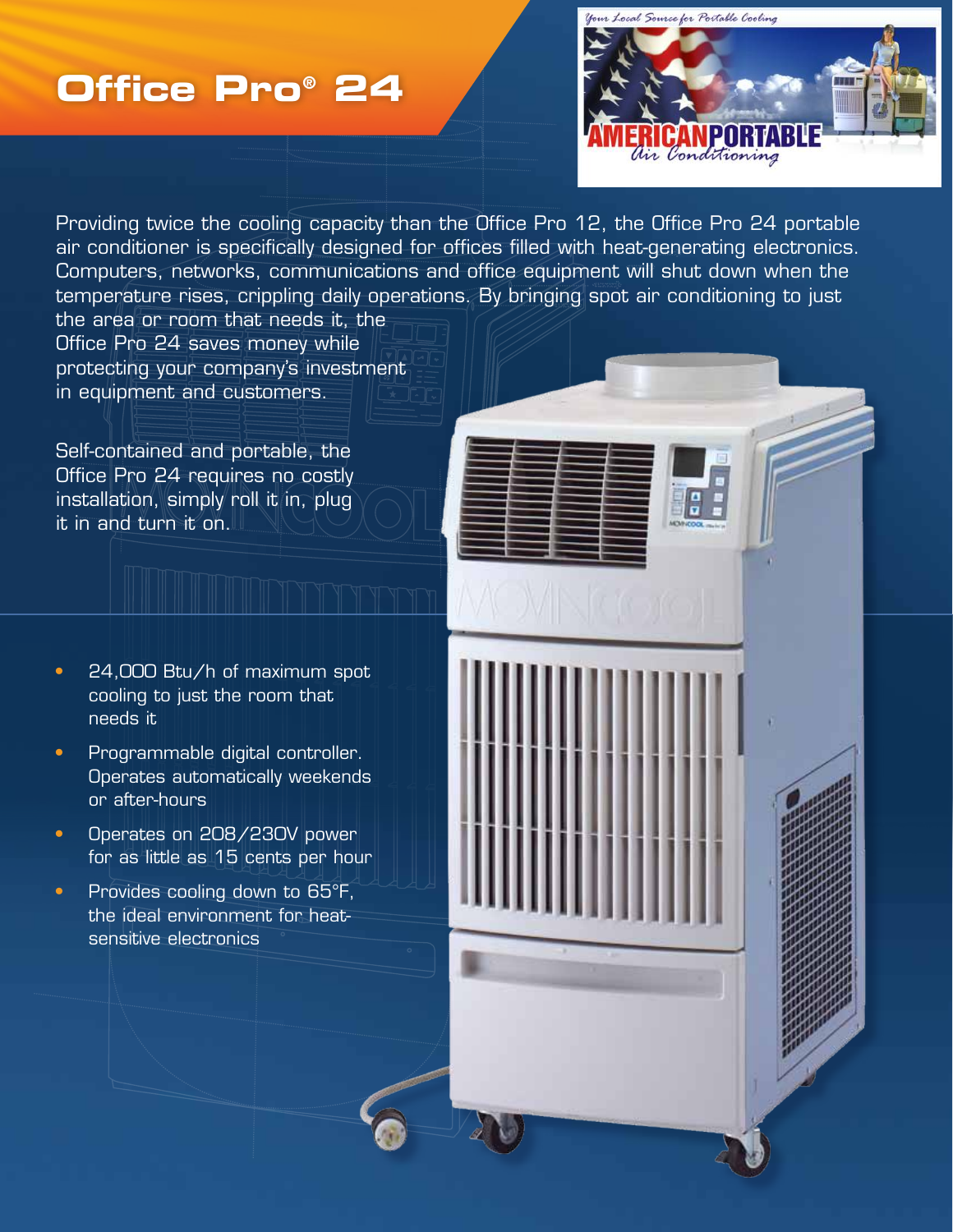# **Office Pro® 24**



Providing twice the cooling capacity than the Office Pro 12, the Office Pro 24 portable air conditioner is specifically designed for offices filled with heat-generating electronics. Computers, networks, communications and office equipment will shut down when the temperature rises, crippling daily operations. By bringing spot air conditioning to just

the area or room that needs it, the Office Pro 24 saves money while protecting your company's investment in equipment and customers.

Self-contained and portable, the Office Pro 24 requires no costly installation, simply roll it in, plug it in and turn it on.

- 24,000 Btu/h of maximum spot cooling to just the room that needs it
- Programmable digital controller. Operates automatically weekends or after-hours
- Operates on 208/230V power for as little as 15 cents per hour
- Provides cooling down to 65°F, the ideal environment for heatsensitive electronics